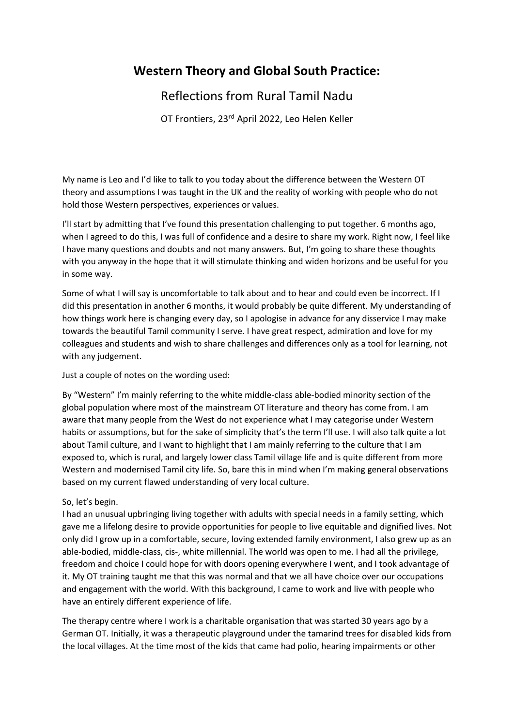# **Western Theory and Global South Practice:**

## Reflections from Rural Tamil Nadu

OT Frontiers, 23rd April 2022, Leo Helen Keller

My name is Leo and I'd like to talk to you today about the difference between the Western OT theory and assumptions I was taught in the UK and the reality of working with people who do not hold those Western perspectives, experiences or values.

I'll start by admitting that I've found this presentation challenging to put together. 6 months ago, when I agreed to do this, I was full of confidence and a desire to share my work. Right now, I feel like I have many questions and doubts and not many answers. But, I'm going to share these thoughts with you anyway in the hope that it will stimulate thinking and widen horizons and be useful for you in some way.

Some of what I will say is uncomfortable to talk about and to hear and could even be incorrect. If I did this presentation in another 6 months, it would probably be quite different. My understanding of how things work here is changing every day, so I apologise in advance for any disservice I may make towards the beautiful Tamil community I serve. I have great respect, admiration and love for my colleagues and students and wish to share challenges and differences only as a tool for learning, not with any judgement.

Just a couple of notes on the wording used:

By "Western" I'm mainly referring to the white middle-class able-bodied minority section of the global population where most of the mainstream OT literature and theory has come from. I am aware that many people from the West do not experience what I may categorise under Western habits or assumptions, but for the sake of simplicity that's the term I'll use. I will also talk quite a lot about Tamil culture, and I want to highlight that I am mainly referring to the culture that I am exposed to, which is rural, and largely lower class Tamil village life and is quite different from more Western and modernised Tamil city life. So, bare this in mind when I'm making general observations based on my current flawed understanding of very local culture.

### So, let's begin.

I had an unusual upbringing living together with adults with special needs in a family setting, which gave me a lifelong desire to provide opportunities for people to live equitable and dignified lives. Not only did I grow up in a comfortable, secure, loving extended family environment, I also grew up as an able-bodied, middle-class, cis-, white millennial. The world was open to me. I had all the privilege, freedom and choice I could hope for with doors opening everywhere I went, and I took advantage of it. My OT training taught me that this was normal and that we all have choice over our occupations and engagement with the world. With this background, I came to work and live with people who have an entirely different experience of life.

The therapy centre where I work is a charitable organisation that was started 30 years ago by a German OT. Initially, it was a therapeutic playground under the tamarind trees for disabled kids from the local villages. At the time most of the kids that came had polio, hearing impairments or other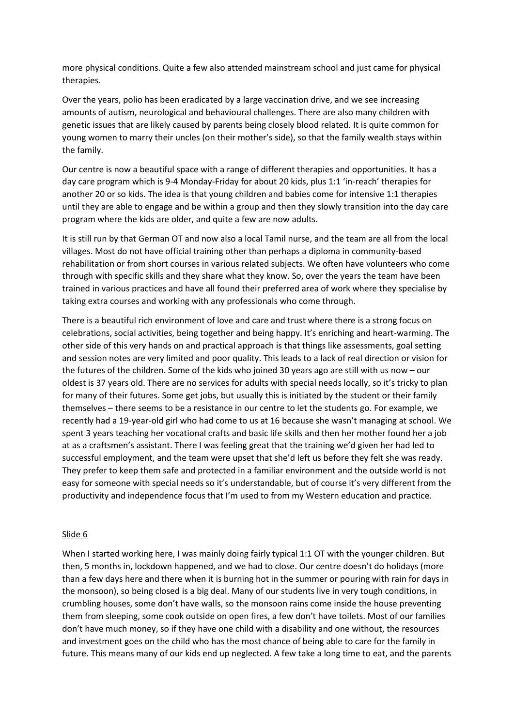more physical conditions. Quite a few also attended mainstream school and just came for physical therapies.

Over the years, polio has been eradicated by a large vaccination drive, and we see increasing amounts of autism, neurological and behavioural challenges. There are also many children with genetic issues that are likely caused by parents being closely blood related. It is quite common for young women to marry their uncles (on their mother's side), so that the family wealth stays within the family.

Our centre is now a beautiful space with a range of different therapies and opportunities. It has a day care program which is 9-4 Monday-Friday for about 20 kids, plus 1:1 'in-reach' therapies for another 20 or so kids. The idea is that young children and babies come for intensive 1:1 therapies until they are able to engage and be within a group and then they slowly transition into the day care program where the kids are older, and quite a few are now adults.

It is still run by that German OT and now also a local Tamil nurse, and the team are all from the local villages. Most do not have official training other than perhaps a diploma in community-based rehabilitation or from short courses in various related subjects. We often have volunteers who come through with specific skills and they share what they know. So, over the years the team have been trained in various practices and have all found their preferred area of work where they specialise by taking extra courses and working with any professionals who come through.

There is a beautiful rich environment of love and care and trust where there is a strong focus on celebrations, social activities, being together and being happy. It's enriching and heart-warming. The other side of this very hands on and practical approach is that things like assessments, goal setting and session notes are very limited and poor quality. This leads to a lack of real direction or vision for the futures of the children. Some of the kids who joined 30 years ago are still with us now – our oldest is 37 years old. There are no services for adults with special needs locally, so it's tricky to plan for many of their futures. Some get jobs, but usually this is initiated by the student or their family themselves – there seems to be a resistance in our centre to let the students go. For example, we recently had a 19-year-old girl who had come to us at 16 because she wasn't managing at school. We spent 3 years teaching her vocational crafts and basic life skills and then her mother found her a job at as a craftsmen's assistant. There I was feeling great that the training we'd given her had led to successful employment, and the team were upset that she'd left us before they felt she was ready. They prefer to keep them safe and protected in a familiar environment and the outside world is not easy for someone with special needs so it's understandable, but of course it's very different from the productivity and independence focus that I'm used to from my Western education and practice.

#### Slide 6

When I started working here. I was mainly doing fairly typical 1:1 OT with the younger children. But then, 5 months in, lockdown happened, and we had to close. Our centre doesn't do holidays (more than a few days here and there when it is burning hot in the summer or pouring with rain for days in the monsoon), so being closed is a big deal. Many of our students live in very tough conditions, in crumbling houses, some don't have walls, so the monsoon rains come inside the house preventing them from sleeping, some cook outside on open fires, a few don't have toilets. Most of our families don't have much money, so if they have one child with a disability and one without, the resources and investment goes on the child who has the most chance of being able to care for the family in future. This means many of our kids end up neglected. A few take a long time to eat, and the parents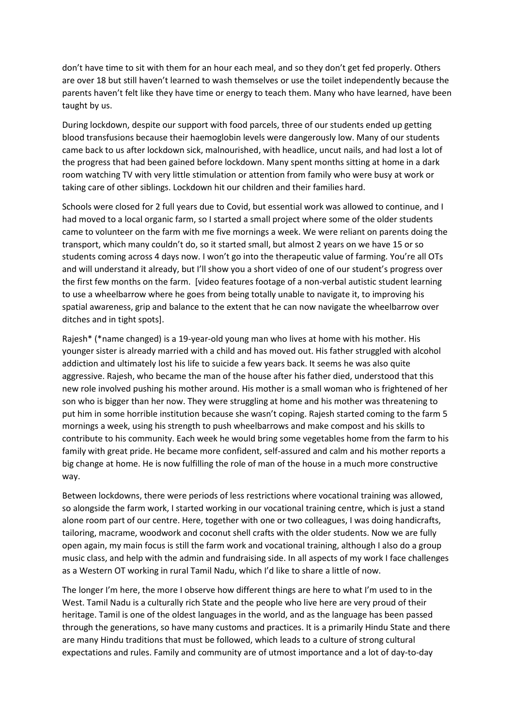don't have time to sit with them for an hour each meal, and so they don't get fed properly. Others are over 18 but still haven't learned to wash themselves or use the toilet independently because the parents haven't felt like they have time or energy to teach them. Many who have learned, have been taught by us.

During lockdown, despite our support with food parcels, three of our students ended up getting blood transfusions because their haemoglobin levels were dangerously low. Many of our students came back to us after lockdown sick, malnourished, with headlice, uncut nails, and had lost a lot of the progress that had been gained before lockdown. Many spent months sitting at home in a dark room watching TV with very little stimulation or attention from family who were busy at work or taking care of other siblings. Lockdown hit our children and their families hard.

Schools were closed for 2 full years due to Covid, but essential work was allowed to continue, and I had moved to a local organic farm, so I started a small project where some of the older students came to volunteer on the farm with me five mornings a week. We were reliant on parents doing the transport, which many couldn't do, so it started small, but almost 2 years on we have 15 or so students coming across 4 days now. I won't go into the therapeutic value of farming. You're all OTs and will understand it already, but I'll show you a short video of one of our student's progress over the first few months on the farm. [video features footage of a non-verbal autistic student learning to use a wheelbarrow where he goes from being totally unable to navigate it, to improving his spatial awareness, grip and balance to the extent that he can now navigate the wheelbarrow over ditches and in tight spots].

Rajesh\* (\*name changed) is a 19-year-old young man who lives at home with his mother. His younger sister is already married with a child and has moved out. His father struggled with alcohol addiction and ultimately lost his life to suicide a few years back. It seems he was also quite aggressive. Rajesh, who became the man of the house after his father died, understood that this new role involved pushing his mother around. His mother is a small woman who is frightened of her son who is bigger than her now. They were struggling at home and his mother was threatening to put him in some horrible institution because she wasn't coping. Rajesh started coming to the farm 5 mornings a week, using his strength to push wheelbarrows and make compost and his skills to contribute to his community. Each week he would bring some vegetables home from the farm to his family with great pride. He became more confident, self-assured and calm and his mother reports a big change at home. He is now fulfilling the role of man of the house in a much more constructive way.

Between lockdowns, there were periods of less restrictions where vocational training was allowed, so alongside the farm work, I started working in our vocational training centre, which is just a stand alone room part of our centre. Here, together with one or two colleagues, I was doing handicrafts, tailoring, macrame, woodwork and coconut shell crafts with the older students. Now we are fully open again, my main focus is still the farm work and vocational training, although I also do a group music class, and help with the admin and fundraising side. In all aspects of my work I face challenges as a Western OT working in rural Tamil Nadu, which I'd like to share a little of now.

The longer I'm here, the more I observe how different things are here to what I'm used to in the West. Tamil Nadu is a culturally rich State and the people who live here are very proud of their heritage. Tamil is one of the oldest languages in the world, and as the language has been passed through the generations, so have many customs and practices. It is a primarily Hindu State and there are many Hindu traditions that must be followed, which leads to a culture of strong cultural expectations and rules. Family and community are of utmost importance and a lot of day-to-day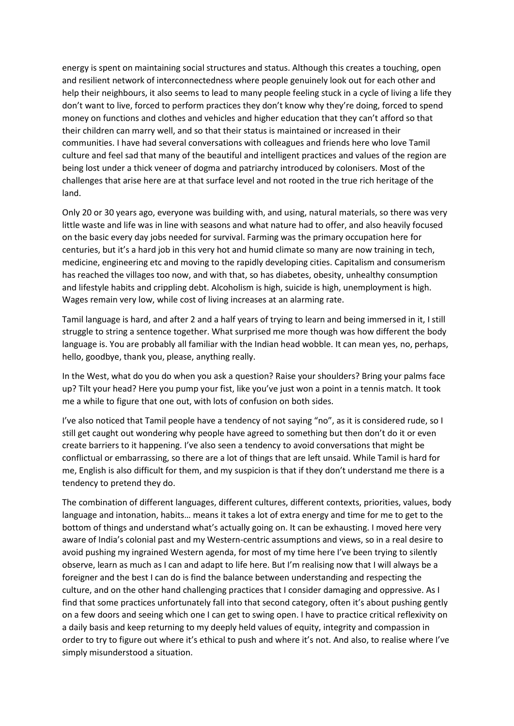energy is spent on maintaining social structures and status. Although this creates a touching, open and resilient network of interconnectedness where people genuinely look out for each other and help their neighbours, it also seems to lead to many people feeling stuck in a cycle of living a life they don't want to live, forced to perform practices they don't know why they're doing, forced to spend money on functions and clothes and vehicles and higher education that they can't afford so that their children can marry well, and so that their status is maintained or increased in their communities. I have had several conversations with colleagues and friends here who love Tamil culture and feel sad that many of the beautiful and intelligent practices and values of the region are being lost under a thick veneer of dogma and patriarchy introduced by colonisers. Most of the challenges that arise here are at that surface level and not rooted in the true rich heritage of the land.

Only 20 or 30 years ago, everyone was building with, and using, natural materials, so there was very little waste and life was in line with seasons and what nature had to offer, and also heavily focused on the basic every day jobs needed for survival. Farming was the primary occupation here for centuries, but it's a hard job in this very hot and humid climate so many are now training in tech, medicine, engineering etc and moving to the rapidly developing cities. Capitalism and consumerism has reached the villages too now, and with that, so has diabetes, obesity, unhealthy consumption and lifestyle habits and crippling debt. Alcoholism is high, suicide is high, unemployment is high. Wages remain very low, while cost of living increases at an alarming rate.

Tamil language is hard, and after 2 and a half years of trying to learn and being immersed in it, I still struggle to string a sentence together. What surprised me more though was how different the body language is. You are probably all familiar with the Indian head wobble. It can mean yes, no, perhaps, hello, goodbye, thank you, please, anything really.

In the West, what do you do when you ask a question? Raise your shoulders? Bring your palms face up? Tilt your head? Here you pump your fist, like you've just won a point in a tennis match. It took me a while to figure that one out, with lots of confusion on both sides.

I've also noticed that Tamil people have a tendency of not saying "no", as it is considered rude, so I still get caught out wondering why people have agreed to something but then don't do it or even create barriers to it happening. I've also seen a tendency to avoid conversations that might be conflictual or embarrassing, so there are a lot of things that are left unsaid. While Tamil is hard for me, English is also difficult for them, and my suspicion is that if they don't understand me there is a tendency to pretend they do.

The combination of different languages, different cultures, different contexts, priorities, values, body language and intonation, habits… means it takes a lot of extra energy and time for me to get to the bottom of things and understand what's actually going on. It can be exhausting. I moved here very aware of India's colonial past and my Western-centric assumptions and views, so in a real desire to avoid pushing my ingrained Western agenda, for most of my time here I've been trying to silently observe, learn as much as I can and adapt to life here. But I'm realising now that I will always be a foreigner and the best I can do is find the balance between understanding and respecting the culture, and on the other hand challenging practices that I consider damaging and oppressive. As I find that some practices unfortunately fall into that second category, often it's about pushing gently on a few doors and seeing which one I can get to swing open. I have to practice critical reflexivity on a daily basis and keep returning to my deeply held values of equity, integrity and compassion in order to try to figure out where it's ethical to push and where it's not. And also, to realise where I've simply misunderstood a situation.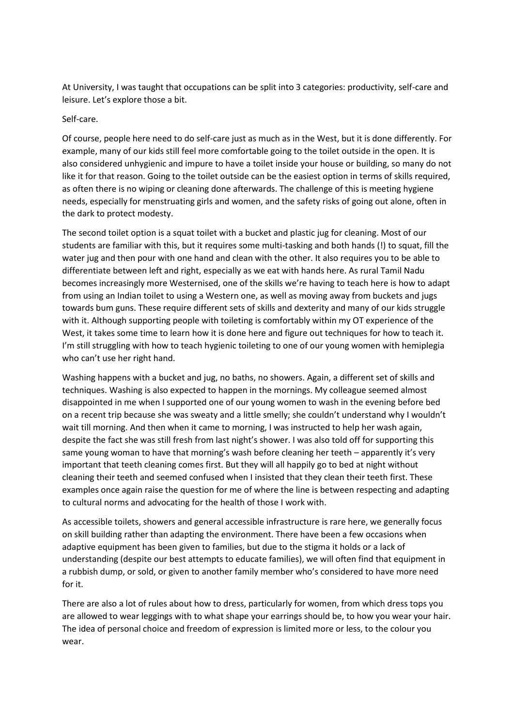At University, I was taught that occupations can be split into 3 categories: productivity, self-care and leisure. Let's explore those a bit.

#### Self-care.

Of course, people here need to do self-care just as much as in the West, but it is done differently. For example, many of our kids still feel more comfortable going to the toilet outside in the open. It is also considered unhygienic and impure to have a toilet inside your house or building, so many do not like it for that reason. Going to the toilet outside can be the easiest option in terms of skills required, as often there is no wiping or cleaning done afterwards. The challenge of this is meeting hygiene needs, especially for menstruating girls and women, and the safety risks of going out alone, often in the dark to protect modesty.

The second toilet option is a squat toilet with a bucket and plastic jug for cleaning. Most of our students are familiar with this, but it requires some multi-tasking and both hands (!) to squat, fill the water jug and then pour with one hand and clean with the other. It also requires you to be able to differentiate between left and right, especially as we eat with hands here. As rural Tamil Nadu becomes increasingly more Westernised, one of the skills we're having to teach here is how to adapt from using an Indian toilet to using a Western one, as well as moving away from buckets and jugs towards bum guns. These require different sets of skills and dexterity and many of our kids struggle with it. Although supporting people with toileting is comfortably within my OT experience of the West, it takes some time to learn how it is done here and figure out techniques for how to teach it. I'm still struggling with how to teach hygienic toileting to one of our young women with hemiplegia who can't use her right hand.

Washing happens with a bucket and jug, no baths, no showers. Again, a different set of skills and techniques. Washing is also expected to happen in the mornings. My colleague seemed almost disappointed in me when I supported one of our young women to wash in the evening before bed on a recent trip because she was sweaty and a little smelly; she couldn't understand why I wouldn't wait till morning. And then when it came to morning, I was instructed to help her wash again, despite the fact she was still fresh from last night's shower. I was also told off for supporting this same young woman to have that morning's wash before cleaning her teeth – apparently it's very important that teeth cleaning comes first. But they will all happily go to bed at night without cleaning their teeth and seemed confused when I insisted that they clean their teeth first. These examples once again raise the question for me of where the line is between respecting and adapting to cultural norms and advocating for the health of those I work with.

As accessible toilets, showers and general accessible infrastructure is rare here, we generally focus on skill building rather than adapting the environment. There have been a few occasions when adaptive equipment has been given to families, but due to the stigma it holds or a lack of understanding (despite our best attempts to educate families), we will often find that equipment in a rubbish dump, or sold, or given to another family member who's considered to have more need for it.

There are also a lot of rules about how to dress, particularly for women, from which dress tops you are allowed to wear leggings with to what shape your earrings should be, to how you wear your hair. The idea of personal choice and freedom of expression is limited more or less, to the colour you wear.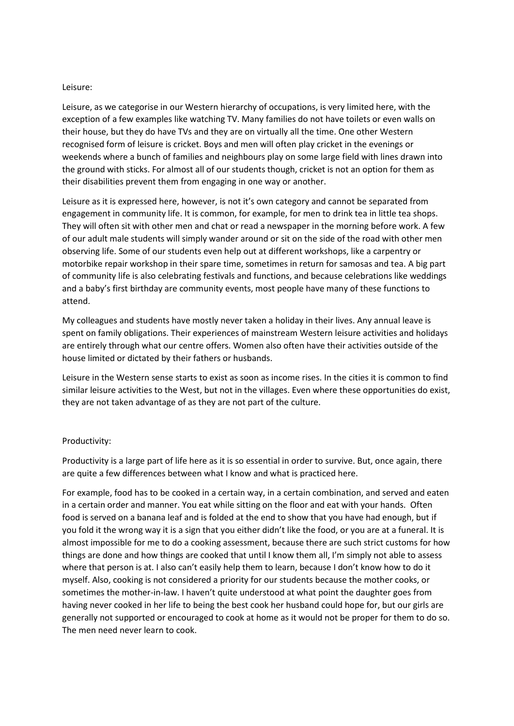#### Leisure:

Leisure, as we categorise in our Western hierarchy of occupations, is very limited here, with the exception of a few examples like watching TV. Many families do not have toilets or even walls on their house, but they do have TVs and they are on virtually all the time. One other Western recognised form of leisure is cricket. Boys and men will often play cricket in the evenings or weekends where a bunch of families and neighbours play on some large field with lines drawn into the ground with sticks. For almost all of our students though, cricket is not an option for them as their disabilities prevent them from engaging in one way or another.

Leisure as it is expressed here, however, is not it's own category and cannot be separated from engagement in community life. It is common, for example, for men to drink tea in little tea shops. They will often sit with other men and chat or read a newspaper in the morning before work. A few of our adult male students will simply wander around or sit on the side of the road with other men observing life. Some of our students even help out at different workshops, like a carpentry or motorbike repair workshop in their spare time, sometimes in return for samosas and tea. A big part of community life is also celebrating festivals and functions, and because celebrations like weddings and a baby's first birthday are community events, most people have many of these functions to attend.

My colleagues and students have mostly never taken a holiday in their lives. Any annual leave is spent on family obligations. Their experiences of mainstream Western leisure activities and holidays are entirely through what our centre offers. Women also often have their activities outside of the house limited or dictated by their fathers or husbands.

Leisure in the Western sense starts to exist as soon as income rises. In the cities it is common to find similar leisure activities to the West, but not in the villages. Even where these opportunities do exist, they are not taken advantage of as they are not part of the culture.

#### Productivity:

Productivity is a large part of life here as it is so essential in order to survive. But, once again, there are quite a few differences between what I know and what is practiced here.

For example, food has to be cooked in a certain way, in a certain combination, and served and eaten in a certain order and manner. You eat while sitting on the floor and eat with your hands. Often food is served on a banana leaf and is folded at the end to show that you have had enough, but if you fold it the wrong way it is a sign that you either didn't like the food, or you are at a funeral. It is almost impossible for me to do a cooking assessment, because there are such strict customs for how things are done and how things are cooked that until I know them all, I'm simply not able to assess where that person is at. I also can't easily help them to learn, because I don't know how to do it myself. Also, cooking is not considered a priority for our students because the mother cooks, or sometimes the mother-in-law. I haven't quite understood at what point the daughter goes from having never cooked in her life to being the best cook her husband could hope for, but our girls are generally not supported or encouraged to cook at home as it would not be proper for them to do so. The men need never learn to cook.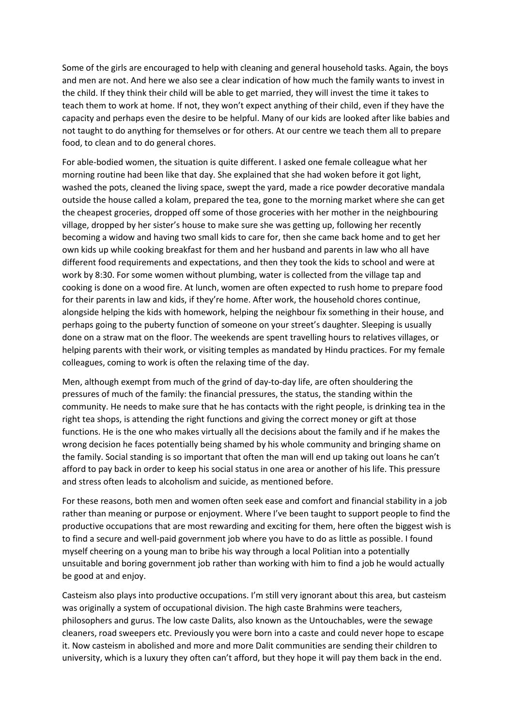Some of the girls are encouraged to help with cleaning and general household tasks. Again, the boys and men are not. And here we also see a clear indication of how much the family wants to invest in the child. If they think their child will be able to get married, they will invest the time it takes to teach them to work at home. If not, they won't expect anything of their child, even if they have the capacity and perhaps even the desire to be helpful. Many of our kids are looked after like babies and not taught to do anything for themselves or for others. At our centre we teach them all to prepare food, to clean and to do general chores.

For able-bodied women, the situation is quite different. I asked one female colleague what her morning routine had been like that day. She explained that she had woken before it got light, washed the pots, cleaned the living space, swept the yard, made a rice powder decorative mandala outside the house called a kolam, prepared the tea, gone to the morning market where she can get the cheapest groceries, dropped off some of those groceries with her mother in the neighbouring village, dropped by her sister's house to make sure she was getting up, following her recently becoming a widow and having two small kids to care for, then she came back home and to get her own kids up while cooking breakfast for them and her husband and parents in law who all have different food requirements and expectations, and then they took the kids to school and were at work by 8:30. For some women without plumbing, water is collected from the village tap and cooking is done on a wood fire. At lunch, women are often expected to rush home to prepare food for their parents in law and kids, if they're home. After work, the household chores continue, alongside helping the kids with homework, helping the neighbour fix something in their house, and perhaps going to the puberty function of someone on your street's daughter. Sleeping is usually done on a straw mat on the floor. The weekends are spent travelling hours to relatives villages, or helping parents with their work, or visiting temples as mandated by Hindu practices. For my female colleagues, coming to work is often the relaxing time of the day.

Men, although exempt from much of the grind of day-to-day life, are often shouldering the pressures of much of the family: the financial pressures, the status, the standing within the community. He needs to make sure that he has contacts with the right people, is drinking tea in the right tea shops, is attending the right functions and giving the correct money or gift at those functions. He is the one who makes virtually all the decisions about the family and if he makes the wrong decision he faces potentially being shamed by his whole community and bringing shame on the family. Social standing is so important that often the man will end up taking out loans he can't afford to pay back in order to keep his social status in one area or another of his life. This pressure and stress often leads to alcoholism and suicide, as mentioned before.

For these reasons, both men and women often seek ease and comfort and financial stability in a job rather than meaning or purpose or enjoyment. Where I've been taught to support people to find the productive occupations that are most rewarding and exciting for them, here often the biggest wish is to find a secure and well-paid government job where you have to do as little as possible. I found myself cheering on a young man to bribe his way through a local Politian into a potentially unsuitable and boring government job rather than working with him to find a job he would actually be good at and enjoy.

Casteism also plays into productive occupations. I'm still very ignorant about this area, but casteism was originally a system of occupational division. The high caste Brahmins were teachers, philosophers and gurus. The low caste Dalits, also known as the Untouchables, were the sewage cleaners, road sweepers etc. Previously you were born into a caste and could never hope to escape it. Now casteism in abolished and more and more Dalit communities are sending their children to university, which is a luxury they often can't afford, but they hope it will pay them back in the end.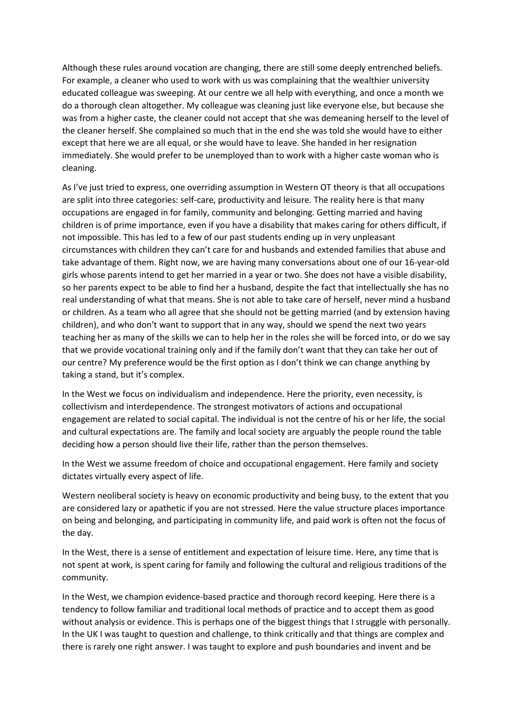Although these rules around vocation are changing, there are still some deeply entrenched beliefs. For example, a cleaner who used to work with us was complaining that the wealthier university educated colleague was sweeping. At our centre we all help with everything, and once a month we do a thorough clean altogether. My colleague was cleaning just like everyone else, but because she was from a higher caste, the cleaner could not accept that she was demeaning herself to the level of the cleaner herself. She complained so much that in the end she was told she would have to either except that here we are all equal, or she would have to leave. She handed in her resignation immediately. She would prefer to be unemployed than to work with a higher caste woman who is cleaning.

As I've just tried to express, one overriding assumption in Western OT theory is that all occupations are split into three categories: self-care, productivity and leisure. The reality here is that many occupations are engaged in for family, community and belonging. Getting married and having children is of prime importance, even if you have a disability that makes caring for others difficult, if not impossible. This has led to a few of our past students ending up in very unpleasant circumstances with children they can't care for and husbands and extended families that abuse and take advantage of them. Right now, we are having many conversations about one of our 16-year-old girls whose parents intend to get her married in a year or two. She does not have a visible disability, so her parents expect to be able to find her a husband, despite the fact that intellectually she has no real understanding of what that means. She is not able to take care of herself, never mind a husband or children. As a team who all agree that she should not be getting married (and by extension having children), and who don't want to support that in any way, should we spend the next two years teaching her as many of the skills we can to help her in the roles she will be forced into, or do we say that we provide vocational training only and if the family don't want that they can take her out of our centre? My preference would be the first option as I don't think we can change anything by taking a stand, but it's complex.

In the West we focus on individualism and independence. Here the priority, even necessity, is collectivism and interdependence. The strongest motivators of actions and occupational engagement are related to social capital. The individual is not the centre of his or her life, the social and cultural expectations are. The family and local society are arguably the people round the table deciding how a person should live their life, rather than the person themselves.

In the West we assume freedom of choice and occupational engagement. Here family and society dictates virtually every aspect of life.

Western neoliberal society is heavy on economic productivity and being busy, to the extent that you are considered lazy or apathetic if you are not stressed. Here the value structure places importance on being and belonging, and participating in community life, and paid work is often not the focus of the day.

In the West, there is a sense of entitlement and expectation of leisure time. Here, any time that is not spent at work, is spent caring for family and following the cultural and religious traditions of the community.

In the West, we champion evidence-based practice and thorough record keeping. Here there is a tendency to follow familiar and traditional local methods of practice and to accept them as good without analysis or evidence. This is perhaps one of the biggest things that I struggle with personally. In the UK I was taught to question and challenge, to think critically and that things are complex and there is rarely one right answer. I was taught to explore and push boundaries and invent and be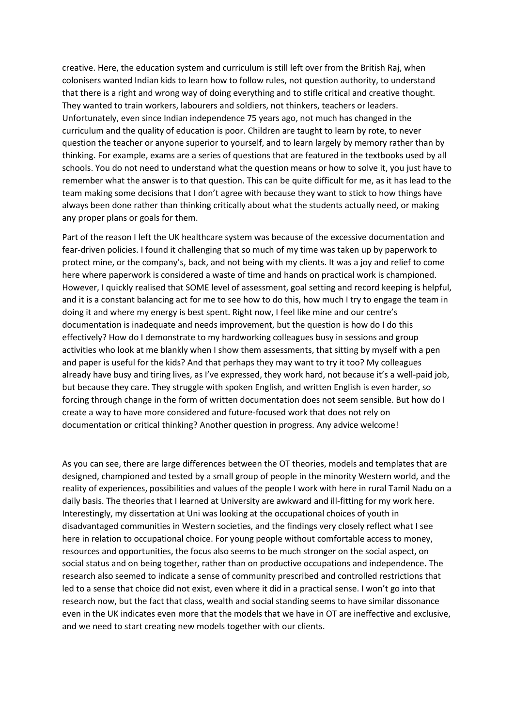creative. Here, the education system and curriculum is still left over from the British Raj, when colonisers wanted Indian kids to learn how to follow rules, not question authority, to understand that there is a right and wrong way of doing everything and to stifle critical and creative thought. They wanted to train workers, labourers and soldiers, not thinkers, teachers or leaders. Unfortunately, even since Indian independence 75 years ago, not much has changed in the curriculum and the quality of education is poor. Children are taught to learn by rote, to never question the teacher or anyone superior to yourself, and to learn largely by memory rather than by thinking. For example, exams are a series of questions that are featured in the textbooks used by all schools. You do not need to understand what the question means or how to solve it, you just have to remember what the answer is to that question. This can be quite difficult for me, as it has lead to the team making some decisions that I don't agree with because they want to stick to how things have always been done rather than thinking critically about what the students actually need, or making any proper plans or goals for them.

Part of the reason I left the UK healthcare system was because of the excessive documentation and fear-driven policies. I found it challenging that so much of my time was taken up by paperwork to protect mine, or the company's, back, and not being with my clients. It was a joy and relief to come here where paperwork is considered a waste of time and hands on practical work is championed. However, I quickly realised that SOME level of assessment, goal setting and record keeping is helpful, and it is a constant balancing act for me to see how to do this, how much I try to engage the team in doing it and where my energy is best spent. Right now, I feel like mine and our centre's documentation is inadequate and needs improvement, but the question is how do I do this effectively? How do I demonstrate to my hardworking colleagues busy in sessions and group activities who look at me blankly when I show them assessments, that sitting by myself with a pen and paper is useful for the kids? And that perhaps they may want to try it too? My colleagues already have busy and tiring lives, as I've expressed, they work hard, not because it's a well-paid job, but because they care. They struggle with spoken English, and written English is even harder, so forcing through change in the form of written documentation does not seem sensible. But how do I create a way to have more considered and future-focused work that does not rely on documentation or critical thinking? Another question in progress. Any advice welcome!

As you can see, there are large differences between the OT theories, models and templates that are designed, championed and tested by a small group of people in the minority Western world, and the reality of experiences, possibilities and values of the people I work with here in rural Tamil Nadu on a daily basis. The theories that I learned at University are awkward and ill-fitting for my work here. Interestingly, my dissertation at Uni was looking at the occupational choices of youth in disadvantaged communities in Western societies, and the findings very closely reflect what I see here in relation to occupational choice. For young people without comfortable access to money, resources and opportunities, the focus also seems to be much stronger on the social aspect, on social status and on being together, rather than on productive occupations and independence. The research also seemed to indicate a sense of community prescribed and controlled restrictions that led to a sense that choice did not exist, even where it did in a practical sense. I won't go into that research now, but the fact that class, wealth and social standing seems to have similar dissonance even in the UK indicates even more that the models that we have in OT are ineffective and exclusive, and we need to start creating new models together with our clients.